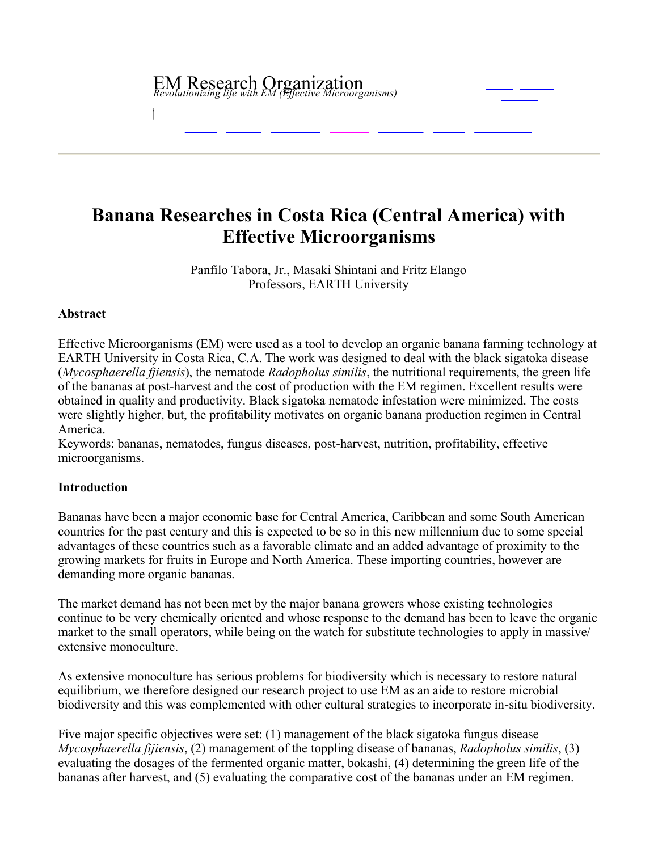# EM Research Organization *Revolutionizing life with EM (Effective Microorganisms)*

# **Banana Researches in Costa Rica (Central America) with Effective Microorganisms**

Panfilo Tabora, Jr., Masaki Shintani and Fritz Elango Professors, EARTH University

#### **Abstract**

Effective Microorganisms (EM) were used as a tool to develop an organic banana farming technology at EARTH University in Costa Rica, C.A. The work was designed to deal with the black sigatoka disease (*Mycosphaerella fjiensis*), the nematode *Radopholus similis*, the nutritional requirements, the green life of the bananas at post-harvest and the cost of production with the EM regimen. Excellent results were obtained in quality and productivity. Black sigatoka nematode infestation were minimized. The costs were slightly higher, but, the profitability motivates on organic banana production regimen in Central America.

Keywords: bananas, nematodes, fungus diseases, postharvest, nutrition, profitability, effective microorganisms.

# **Introduction**

Bananas have been a major economic base for Central America, Caribbean and some South American countries for the past century and this is expected to be so in this new millennium due to some special advantages of these countries such as a favorable climate and an added advantage of proximity to the growing markets for fruits in Europe and North America. These importing countries, however are demanding more organic bananas.

The market demand has not been met by the major banana growers whose existing technologies continue to be very chemically oriented and whose response to the demand has been to leave the organic market to the small operators, while being on the watch for substitute technologies to apply in massive/ extensive monoculture.

As extensive monoculture has serious problems for biodiversity which is necessary to restore natural equilibrium, we therefore designed our research project to use EM as an aide to restore microbial biodiversity and this was complemented with other cultural strategies to incorporate in-situ biodiversity.

Five major specific objectives were set: (1) management of the black sigatoka fungus disease *Mycosphaerella fijiensis*, (2) management of the toppling disease of bananas, *Radopholus similis*, (3) evaluating the dosages of the fermented organic matter, bokashi, (4) determining the green life of the bananas after harvest, and (5) evaluating the comparative cost of the bananas under an EM regimen.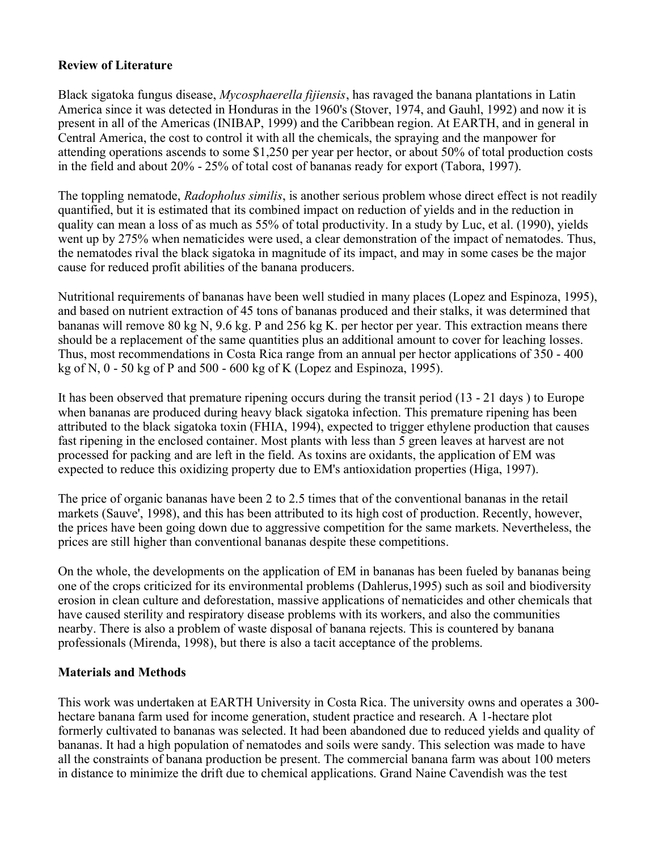# **Review of Literature**

Black sigatoka fungus disease, *Mycosphaerella fijiensis*, has ravaged the banana plantations in Latin America since it was detected in Honduras in the 1960's (Stover, 1974, and Gauhl, 1992) and now it is present in all of the Americas (INIBAP, 1999) and the Caribbean region. At EARTH, and in general in Central America, the cost to control it with all the chemicals, the spraying and the manpower for attending operations ascends to some \$1,250 per year per hector, or about 50% of total production costs in the field and about 20% 25% of total cost of bananas ready for export (Tabora, 1997).

The toppling nematode, *Radopholus similis*, is another serious problem whose direct effect is not readily quantified, but it is estimated that its combined impact on reduction of yields and in the reduction in quality can mean a loss of as much as 55% of total productivity. In a study by Luc, et al. (1990), yields went up by 275% when nematicides were used, a clear demonstration of the impact of nematodes. Thus, the nematodes rival the black sigatoka in magnitude of its impact, and may in some cases be the major cause for reduced profit abilities of the banana producers.

Nutritional requirements of bananas have been well studied in many places (Lopez and Espinoza, 1995), and based on nutrient extraction of 45 tons of bananas produced and their stalks, it was determined that bananas will remove 80 kg N, 9.6 kg. P and 256 kg K. per hector per year. This extraction means there should be a replacement of the same quantities plus an additional amount to cover for leaching losses. Thus, most recommendations in Costa Rica range from an annual per hector applications of 350 - 400 kg of N,  $0 - 50$  kg of P and  $500 - 600$  kg of K (Lopez and Espinoza, 1995).

It has been observed that premature ripening occurs during the transit period  $(13 - 21)$  days) to Europe when bananas are produced during heavy black sigatoka infection. This premature ripening has been attributed to the black sigatoka toxin (FHIA, 1994), expected to trigger ethylene production that causes fast ripening in the enclosed container. Most plants with less than 5 green leaves at harvest are not processed for packing and are left in the field. As toxins are oxidants, the application of EM was expected to reduce this oxidizing property due to EM's antioxidation properties (Higa, 1997).

The price of organic bananas have been 2 to 2.5 times that of the conventional bananas in the retail markets (Sauve', 1998), and this has been attributed to its high cost of production. Recently, however, the prices have been going down due to aggressive competition for the same markets. Nevertheless, the prices are still higher than conventional bananas despite these competitions.

On the whole, the developments on the application of EM in bananas has been fueled by bananas being one of the crops criticized for its environmental problems (Dahlerus,1995) such as soil and biodiversity erosion in clean culture and deforestation, massive applications of nematicides and other chemicals that have caused sterility and respiratory disease problems with its workers, and also the communities nearby. There is also a problem of waste disposal of banana rejects. This is countered by banana professionals (Mirenda, 1998), but there is also a tacit acceptance of the problems.

# **Materials and Methods**

This work was undertaken at EARTH University in Costa Rica. The university owns and operates a 300 hectare banana farm used for income generation, student practice and research. A 1-hectare plot formerly cultivated to bananas was selected. It had been abandoned due to reduced yields and quality of bananas. It had a high population of nematodes and soils were sandy. This selection was made to have all the constraints of banana production be present. The commercial banana farm was about 100 meters in distance to minimize the drift due to chemical applications. Grand Naine Cavendish was the test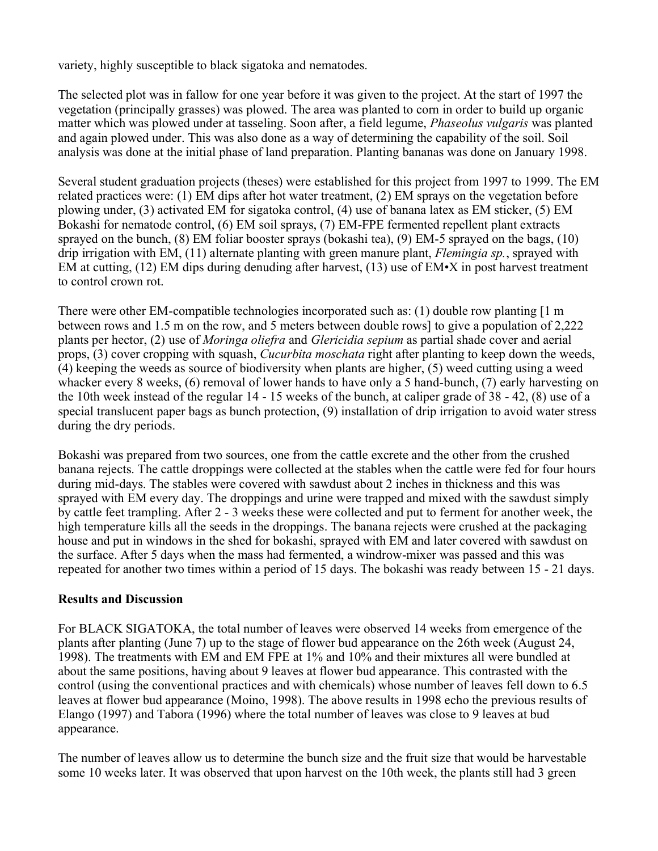variety, highly susceptible to black sigatoka and nematodes.

The selected plot was in fallow for one year before it was given to the project. At the start of 1997 the vegetation (principally grasses) was plowed. The area was planted to corn in order to build up organic matter which was plowed under at tasseling. Soon after, a field legume, *Phaseolus vulgaris* was planted and again plowed under. This was also done as a way of determining the capability of the soil. Soil analysis was done at the initial phase of land preparation. Planting bananas was done on January 1998.

Several student graduation projects (theses) were established for this project from 1997 to 1999. The EM related practices were: (1) EM dips after hot water treatment, (2) EM sprays on the vegetation before plowing under, (3) activated EM for sigatoka control, (4) use of banana latex as EM sticker, (5) EM Bokashi for nematode control, (6) EM soil sprays, (7) EM-FPE fermented repellent plant extracts sprayed on the bunch,  $(8)$  EM foliar booster sprays (bokashi tea),  $(9)$  EM-5 sprayed on the bags,  $(10)$ drip irrigation with EM, (11) alternate planting with green manure plant, *Flemingia sp.*, sprayed with EM at cutting, (12) EM dips during denuding after harvest, (13) use of EM•X in post harvest treatment to control crown rot.

There were other EM-compatible technologies incorporated such as: (1) double row planting  $[1 \text{ m}]$ between rows and 1.5 m on the row, and 5 meters between double rows] to give a population of 2,222 plants per hector, (2) use of *Moringa oliefra* and *Glericidia sepium* aspartial shade cover and aerial props, (3) cover cropping with squash, *Cucurbita moschata* right after planting to keep down the weeds, (4) keeping the weeds as source of biodiversity when plants are higher, (5) weed cutting using a weed whacker every 8 weeks,  $(6)$  removal of lower hands to have only a 5 hand-bunch,  $(7)$  early harvesting on the 10th week instead of the regular  $14 - 15$  weeks of the bunch, at caliper grade of  $38 - 42$ ,  $(8)$  use of a special translucent paper bags as bunch protection, (9) installation of drip irrigation to avoid water stress during the dry periods.

Bokashi was prepared from two sources, one from the cattle excrete and the other from the crushed banana rejects. The cattle droppings were collected at the stables when the cattle were fed for four hours during mid-days. The stables were covered with sawdust about 2 inches in thickness and this was sprayed with EM every day. The droppings and urine were trapped and mixed with the sawdust simply by cattle feet trampling. After 2 3 weeks these were collected and put to ferment for another week, the high temperature kills all the seeds in the droppings. The banana rejects were crushed at the packaging house and put in windows in the shed for bokashi, sprayed with EM and later covered with sawdust on the surface. After 5 days when the mass had fermented, a windrowmixer was passed and this was repeated for another two times within a period of 15 days. The bokashi was ready between 15 - 21 days.

#### **Results and Discussion**

For BLACK SIGATOKA, the total number of leaves were observed 14 weeks from emergence of the plants after planting (June 7) up to the stage of flower bud appearance on the 26th week (August 24, 1998). The treatments with EM and EM FPE at 1% and 10% and their mixtures all were bundled at about the same positions, having about 9 leaves at flower bud appearance. This contrasted with the control (using the conventional practices and with chemicals) whose number of leaves fell down to 6.5 leaves at flower bud appearance (Moino, 1998). The above results in 1998 echo the previous results of Elango (1997) and Tabora (1996) where the total number of leaves was close to 9 leaves at bud appearance.

The number of leaves allow us to determine the bunch size and the fruit size that would be harvestable some 10 weeks later. It was observed that upon harvest on the 10th week, the plants still had 3 green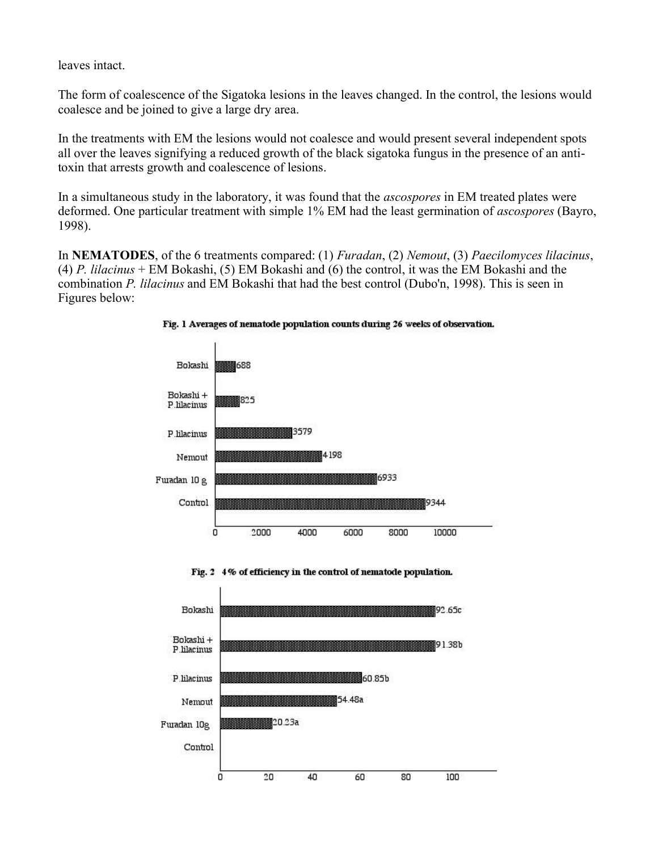leaves intact.

The form of coalescence of the Sigatoka lesions in the leaves changed. In the control, the lesions would coalesce and be joined to give a large dry area.

In the treatments with EM the lesions would not coalesce and would present several independent spots all over the leaves signifying a reduced growth of the black sigatoka fungus in the presence of an antitoxin that arrests growth and coalescence of lesions.

In a simultaneous study in the laboratory, it was found that the *ascospores* in EM treated plates were deformed. One particular treatment with simple 1% EM had the least germination of *ascospores* (Bayro, 1998).

In **NEMATODES**, of the 6 treatments compared: (1) *Furadan*, (2) *Nemout*, (3) *Paecilomyces lilacinus*, (4) *P. lilacinus* + EM Bokashi, (5) EM Bokashi and (6) the control, it was the EM Bokashi and the combination *P. lilacinus* and EM Bokashi that had the best control (Dubo'n, 1998). This is seen in Figures below:



Fig. 1 Averages of nematode population counts during 26 weeks of observation.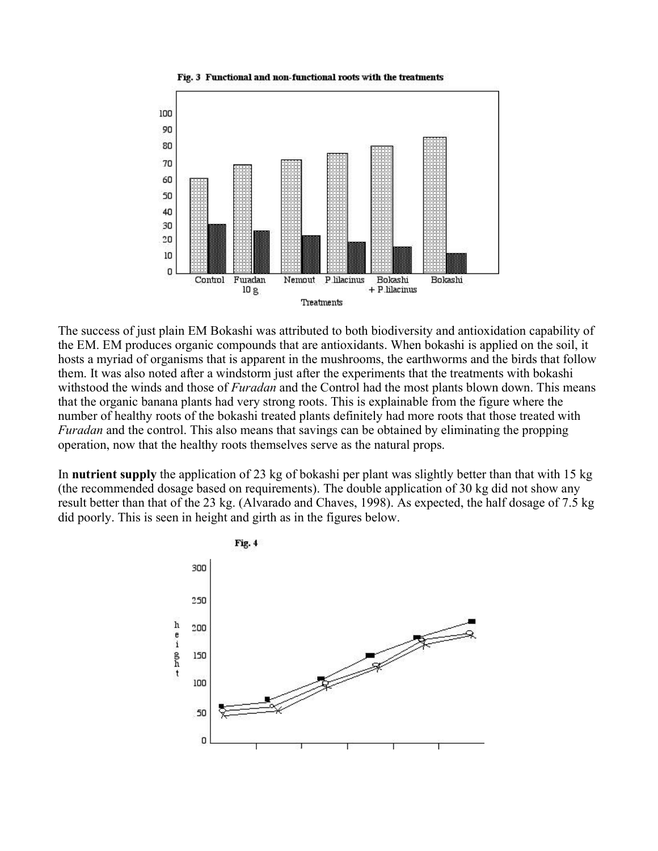



The success of just plain EM Bokashi was attributed to both biodiversity and antioxidation capability of the EM. EM produces organic compounds that are antioxidants. When bokashi is applied on the soil, it hosts a myriad of organisms that is apparent in the mushrooms, the earthworms and the birds that follow them. It was also noted after a windstorm just after the experiments that the treatments with bokashi withstood the winds and those of *Furadan* and the Control had the most plants blown down. This means that the organic banana plants had very strong roots. This is explainable from the figure where the number of healthy roots of the bokashi treated plants definitely had more roots that those treated with *Furadan* and the control. This also means that savings can be obtained by eliminating the propping operation, now that the healthy roots themselves serve as the natural props.

In **nutrient supply** the application of 23 kg of bokashi per plant was slightly better than that with 15 kg (the recommended dosage based on requirements). The double application of 30 kg did not show any result better than that of the 23 kg. (Alvarado and Chaves, 1998). As expected, the half dosage of 7.5 kg did poorly. This is seen in height and girth as in the figures below.

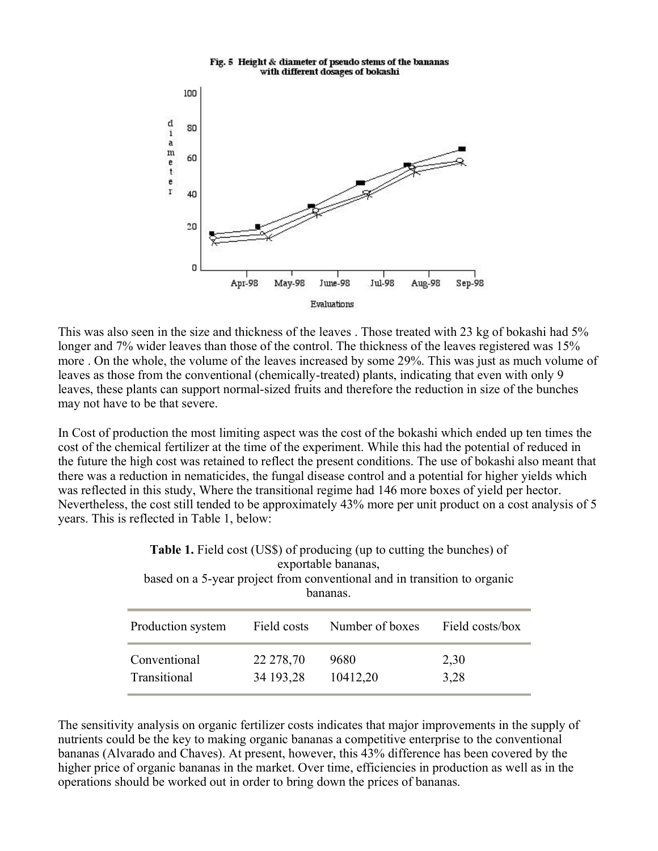

This was also seen in the size and thickness of the leaves. Those treated with 23 kg of bokashi had 5% longer and 7% wider leaves than those of the control. The thickness of the leaves registered was 15% more . On the whole, the volume of the leaves increased by some 29%. This was just as much volume of leaves as those from the conventional (chemically-treated) plants, indicating that even with only 9 leaves, these plants can support normal-sized fruits and therefore the reduction in size of the bunches may not have to be that severe.

In Cost of production the most limiting aspect was the cost of the bokashi which ended up ten times the cost of the chemical fertilizer at the time of the experiment. While this had the potential of reduced in the future the high cost was retained to reflect the present conditions. The use of bokashi also meant that there was a reduction in nematicides, the fungal disease control and a potential for higher yields which was reflected in this study, Where the transitional regime had 146 more boxes of yield per hector. Nevertheless, the cost still tended to be approximately 43% more per unit product on a cost analysis of 5 years. This is reflected in Table 1, below:

| <b>Table 1.</b> Field cost (US\$) of producing (up to cutting the bunches) of<br>exportable bananas,<br>based on a 5-year project from conventional and in transition to organic<br>bananas |                        |                  |                 |
|---------------------------------------------------------------------------------------------------------------------------------------------------------------------------------------------|------------------------|------------------|-----------------|
| Production system                                                                                                                                                                           | Field costs            | Number of boxes  | Field costs/box |
| Conventional<br>Transitional                                                                                                                                                                | 22 278,70<br>34 193,28 | 9680<br>10412,20 | 2,30<br>3,28    |

The sensitivity analysis on organic fertilizer costs indicates that major improvements in the supply of nutrients could be the key to making organic bananas a competitive enterprise to the conventional bananas (Alvarado and Chaves). At present, however, this 43% difference has been covered by the higher price of organic bananas in the market. Over time, efficiencies in production as well as in the operations should be worked out in order to bring down the prices of bananas.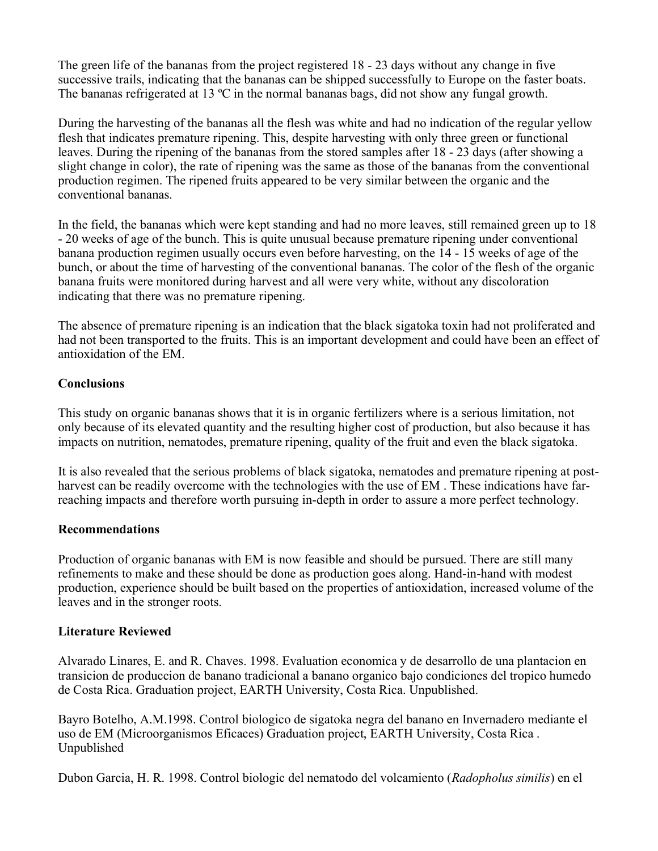The green life of the bananas from the project registered 18 - 23 days without any change in five successive trails, indicating that the bananas can be shipped successfully to Europe on the faster boats. The bananas refrigerated at 13  $^{\circ}$ C in the normal bananas bags, did not show any fungal growth.

During the harvesting of the bananas all the flesh was white and had no indication of the regular yellow flesh that indicates premature ripening. This, despite harvesting with only three green or functional leaves. During the ripening of the bananas from the stored samples after 18 - 23 days (after showing a slight change in color), the rate of ripening was the same as those of the bananas from the conventional production regimen. The ripened fruits appeared to be very similar between the organic and the conventional bananas.

In the field, the bananas which were kept standing and had no more leaves, still remained green up to 18 20 weeks of age of the bunch. This is quite unusual because premature ripening under conventional banana production regimen usually occurs even before harvesting, on the 14 15 weeks of age of the bunch, or about the time of harvesting of the conventional bananas. The color of the flesh of the organic banana fruits were monitored during harvest and all were very white, without any discoloration indicating that there was no premature ripening.

The absence of premature ripening is an indication that the black sigatoka toxin had not proliferated and had not been transported to the fruits. This is an important development and could have been an effect of antioxidation of the EM.

### **Conclusions**

This study on organic bananas shows that it is in organic fertilizers where is a serious limitation, not only because of its elevated quantity and the resulting higher cost of production, but also because it has impacts on nutrition, nematodes, premature ripening, quality of the fruit and even the black sigatoka.

It is also revealed that the serious problems of black sigatoka, nematodes and premature ripening at post harvest can be readily overcome with the technologies with the use of EM . These indications have farreaching impacts and therefore worth pursuing in-depth in order to assure a more perfect technology.

#### **Recommendations**

Production of organic bananas with EM is now feasible and should be pursued. There are still many refinements to make and these should be done as production goes along. Hand-in-hand with modest production, experience should be built based on the properties of antioxidation, increased volume of the leaves and in the stronger roots.

#### **Literature Reviewed**

Alvarado Linares, E. and R. Chaves. 1998. Evaluation economica y de desarrollo de una plantacion en transicion de produccion de banano tradicional a banano organico bajo condiciones del tropico humedo de Costa Rica. Graduation project, EARTH University, Costa Rica. Unpublished.

Bayro Botelho, A.M.1998. Control biologico de sigatoka negra del banano en Invernadero mediante el uso de EM (Microorganismos Eficaces) Graduation project, EARTH University, Costa Rica . Unpublished

Dubon Garcia, H. R. 1998. Control biologic del nematodo del volcamiento (*Radopholus similis*) en el